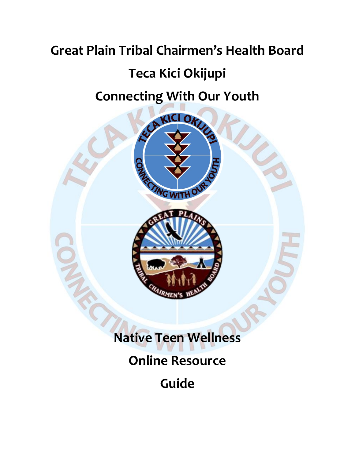# **Great Plain Tribal Chairmen's Health Board Teca Kici Okijupi**

# **Connecting With Our Youth**



# **Native Teen Wellness**

# **Online Resource**

**Guide**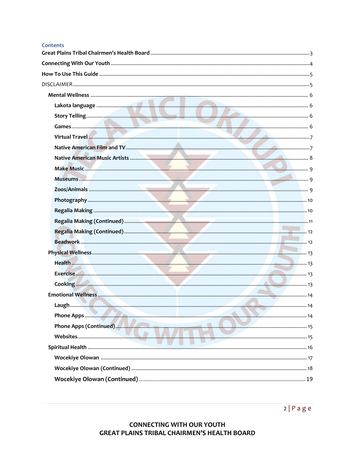#### **Contents**

| <b>AMIR</b> |  |
|-------------|--|
|             |  |
|             |  |
|             |  |
|             |  |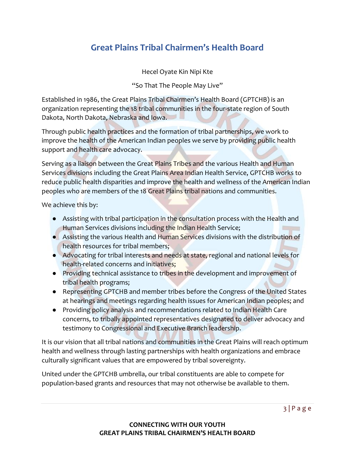# <span id="page-2-0"></span>**Great Plains Tribal Chairmen's Health Board**

Hecel Oyate Kin Nipi Kte

"So That The People May Live"

Established in 1986, the Great Plains Tribal Chairmen's Health Board (GPTCHB) is an organization representing the 18 tribal communities in the four-state region of South Dakota, North Dakota, Nebraska and Iowa.

Through public health practices and the formation of tribal partnerships, we work to improve the health of the American Indian peoples we serve by providing public health support and health care advocacy.

Serving as a liaison between the Great Plains Tribes and the various Health and Human Services divisions including the Great Plains Area Indian Health Service, GPTCHB works to reduce public health disparities and improve the health and wellness of the American Indian peoples who are members of the 18 Great Plains tribal nations and communities.

We achieve this by:

- Assisting with tribal participation in the consultation process with the Health and Human Services divisions including the Indian Health Service;
- Assisting the various Health and Human Services divisions with the distribution of health resources for tribal members;
- Advocating for tribal interests and needs at state, regional and national levels for health-related concerns and initiatives;
- Providing technical assistance to tribes in the development and improvement of tribal health programs;
- Representing GPTCHB and member tribes before the Congress of the United States at hearings and meetings regarding health issues for American Indian peoples; and
- Providing policy analysis and recommendations related to Indian Health Care concerns, to tribally appointed representatives designated to deliver advocacy and testimony to Congressional and Executive Branch leadership.

It is our vision that all tribal nations and communities in the Great Plains will reach optimum health and wellness through lasting partnerships with health organizations and embrace culturally significant values that are empowered by tribal sovereignty.

United under the GPTCHB umbrella, our tribal constituents are able to compete for population-based grants and resources that may not otherwise be available to them.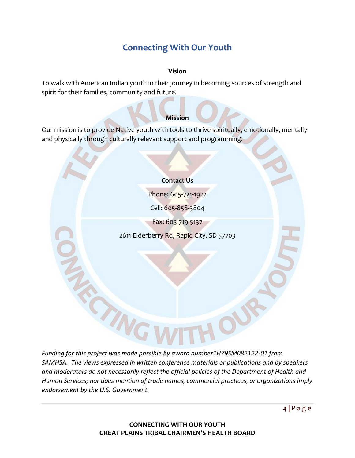# **Connecting With Our Youth**

# **Vision**

<span id="page-3-0"></span>To walk with American Indian youth in their journey in becoming sources of strength and spirit for their families, community and future.

# **Mission**

Our mission is to provide Native youth with tools to thrive spiritually, emotionally, mentally and physically through culturally relevant support and programming.

# **Contact Us**

Phone: 605-721-1922

Cell: 605-858-3804

Fax: 605-719-5137

2611 Elderberry Rd, Rapid City, SD 57703

*Funding for this project was made possible by award number1H79SM082122-01 from SAMHSA. The views expressed in written conference materials or publications and by speakers and moderators do not necessarily reflect the official policies of the Department of Health and Human Services; nor does mention of trade names, commercial practices, or organizations imply endorsement by the U.S. Government.*

TING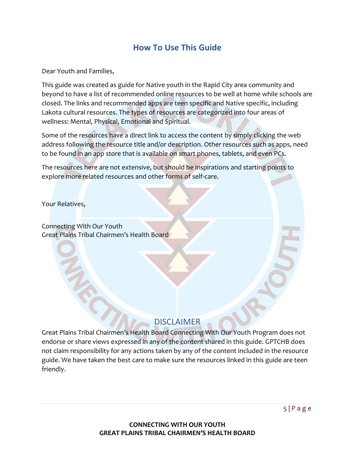# **How To Use This Guide**

<span id="page-4-0"></span>Dear Youth and Families,

This guide was created as guide for Native youth in the Rapid City area community and beyond to have a list of recommended online resources to be well at home while schools are closed. The links and recommended apps are teen specific and Native specific, including Lakota cultural resources. The types of resources are categorized into four areas of wellness: Mental, Physical, Emotional and Spiritual.

Some of the resources have a direct link to access the content by simply clicking the web address following the resource title and/or description. Other resources such as apps, need to be found in an app store that is available on smart phones, tablets, and even PCs.

The resources here are not extensive, but should be inspirations and starting points to explore more related resources and other forms of self-care.

Your Relatives,

Connecting With Our Youth Great Plains Tribal Chairmen's Health Board

# **DISCLAIMER**

<span id="page-4-1"></span>Great Plains Tribal Chairmen's Health Board Connecting With Our Youth Program does not endorse or share views expressed in any of the content shared in this guide. GPTCHB does not claim responsibility for any actions taken by any of the content included in the resource guide. We have taken the best care to make sure the resources linked in this guide are teen friendly.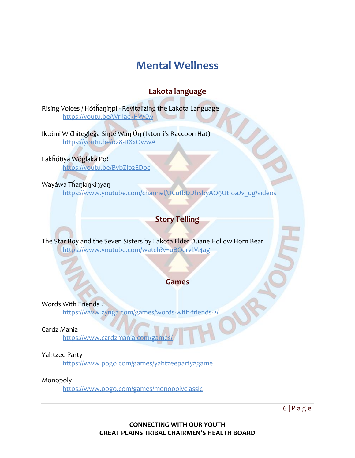# **Mental Wellness**

# **Lakota language**

<span id="page-5-1"></span><span id="page-5-0"></span>Rising Voices / Hótȟaŋiŋpi - Revitalizing the Lakota Language <https://youtu.be/Wr-jackHWCw>

Iktómi Wičhítegleğa Sinté Wan Ún (Iktomi's Raccoon Hat) <https://youtu.be/oz8-RXxOwwA>

Lakȟótiya Wóglaka Po!

<https://youtu.be/BybZlp2EDoc>

Wayáwa Tȟaŋkíŋkiŋyaŋ

[https://www.youtube.com/channel/UCufbDDhSbyAO9UtIoaJv\\_ug/videos](https://www.youtube.com/channel/UCufbDDhSbyAO9UtIoaJv_ug/videos)

# **Story Telling**

<span id="page-5-2"></span>The Star Boy and the Seven Sisters by Lakota Elder Duane Hollow Horn Bear <https://www.youtube.com/watch?v=uBOervlM4ag>

# **Games**

<span id="page-5-3"></span>Words With Friends 2

<https://www.zynga.com/games/words-with-friends-2/>

Cardz Mania

https://www.cardzmania.com/game

Yahtzee Party

<https://www.pogo.com/games/yahtzeeparty#game>

Monopoly

<https://www.pogo.com/games/monopolyclassic>

 $6 | P \text{ a g e}$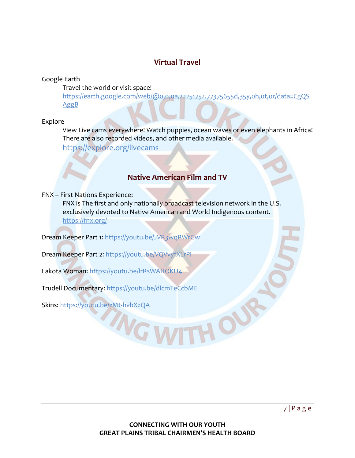# **Virtual Travel**

<span id="page-6-0"></span>Google Earth

Travel the world or visit space!

[https://earth.google.com/web/@0,0,0a,22251752.77375655d,35y,0h,0t,0r/data=CgQS](https://earth.google.com/web/@0,0,0a,22251752.77375655d,35y,0h,0t,0r/data=CgQSAggB) [AggB](https://earth.google.com/web/@0,0,0a,22251752.77375655d,35y,0h,0t,0r/data=CgQSAggB)

# Explore

View Live cams everywhere! Watch puppies, ocean waves or even elephants in Africa! There are also recorded videos, and other media available.

<https://explore.org/livecams>

# **Native American Film and TV**

<span id="page-6-1"></span>FNX – First Nations Experience:

FNX is The first and only nationally broadcast television network in the U.S. exclusively devoted to Native American and World Indigenous content. <https://fnx.org/>

Dream Keeper Part 1:<https://youtu.be/JVR3wqRWrGw>

Dream Keeper Part 2:<https://youtu.be/VQVvyfXLrPI>

Lakota Woman:<https://youtu.be/lrRsWAHOKU4>

Trudell Documentary:<https://youtu.be/dlcmTeCcbME>

**ING W** 

Skins:<https://youtu.be/zMt-hvbXzQA>

HOU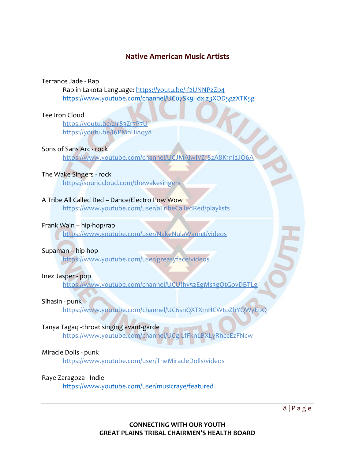# **Native American Music Artists**

#### <span id="page-7-0"></span>Terrance Jade - Rap

Rap in Lakota Language:<https://youtu.be/-f2UNNPzZp4> [https://www.youtube.com/channel/UC07Sk9\\_dxlz3XOD5gzXTK5g](https://www.youtube.com/channel/UC07Sk9_dxlz3XOD5gzXTK5g)

# Tee Iron Cloud

<https://youtu.be/zIr83Zr7P7U> <https://youtu.be/I6PMnHi8qy8>

# Sons of Sans Arc - rock

<https://www.youtube.com/channel/UCJMAjwIVZf8zA8K1nI2JO6A>

# The Wake Singers - rock

<https://soundcloud.com/thewakesingers>

# A Tribe All Called Red – Dance/Electro Pow Wow

<https://www.youtube.com/user/aTribeCalledRed/playlists>

# Frank Waln – hip-hop/rap

<https://www.youtube.com/user/NakeNulaWaun4/videos>

# Supaman – hip-hop

<https://www.youtube.com/user/greasyface/videos>

# Inez Jasper - pop

<https://www.youtube.com/channel/UCUfhy52EgMs3gOtGoyDBTLg>

# Sihasin - punk

<https://www.youtube.com/channel/UC6snQXTXmHCWtoZbYQWyEpQ>

# Tanya Tagaq -throat singing avant-garde

<https://www.youtube.com/channel/UCglLfFknLBXLyRhccEzFNcw>

# Miracle Dolls - punk

<https://www.youtube.com/user/TheMiracleDolls/videos>

# Raye Zaragoza - Indie

<https://www.youtube.com/user/musicraye/featured>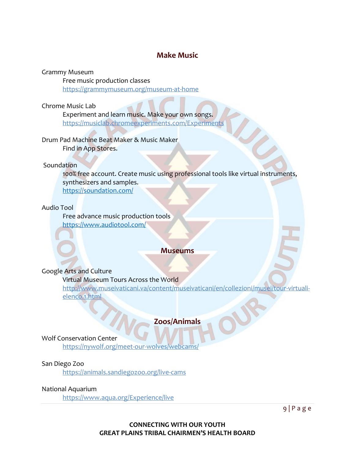# **Make Music**

#### <span id="page-8-0"></span>Grammy Museum

Free music production classes <https://grammymuseum.org/museum-at-home>

# Chrome Music Lab

Experiment and learn music. Make your own songs. <https://musiclab.chromeexperiments.com/Experiments>

## Drum Pad Machine Beat Maker & Music Maker Find in App Stores.

#### **Soundation**

100% free account. Create music using professional tools like virtual instruments, synthesizers and samples.

<https://soundation.com/>

#### Audio Tool

Free advance music production tools <https://www.audiotool.com/>

# **Museums**

#### <span id="page-8-1"></span>Google Arts and Culture

# Virtual Museum Tours Across the World

[http://www.museivaticani.va/content/museivaticani/en/collezioni/musei/tour-virtuali](http://www.museivaticani.va/content/museivaticani/en/collezioni/musei/tour-virtuali-elenco.1.html)[elenco.1.html](http://www.museivaticani.va/content/museivaticani/en/collezioni/musei/tour-virtuali-elenco.1.html)

# **Zoos/Animals**

#### <span id="page-8-2"></span>Wolf Conservation Center

<https://nywolf.org/meet-our-wolves/webcams/>

#### San Diego Zoo

<https://animals.sandiegozoo.org/live-cams>

#### National Aquarium

<https://www.aqua.org/Experience/live>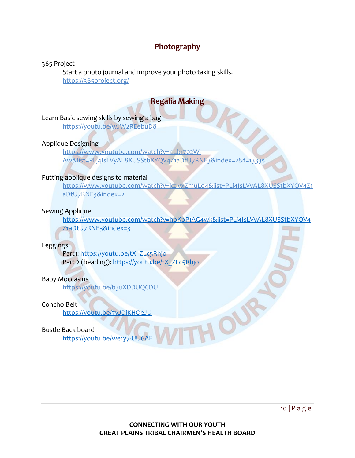# **Photography**

## <span id="page-9-0"></span>365 Project

Start a photo journal and improve your photo taking skills. <https://365project.org/>

# **Regalia Making**

# <span id="page-9-1"></span>Learn Basic sewing skills by sewing a bag

<https://youtu.be/wJW2REebuD8>

# Applique Designing

[https://www.youtube.com/watch?v=4Lbr702W-](https://www.youtube.com/watch?v=4Lbr702W-Aw&list=PLj4IsLVyAL8XUSStbXYQV4Z1aDtU7RNE3&index=2&t=1333s)[Aw&list=PLj4IsLVyAL8XUSStbXYQV4Z1aDtU7RNE3&index=2&t=1333s](https://www.youtube.com/watch?v=4Lbr702W-Aw&list=PLj4IsLVyAL8XUSStbXYQV4Z1aDtU7RNE3&index=2&t=1333s)

# Putting applique designs to material

[https://www.youtube.com/watch?v=kzjvxZmuLq4&list=PLj4IsLVyAL8XUSStbXYQV4Z1](https://www.youtube.com/watch?v=kzjvxZmuLq4&list=PLj4IsLVyAL8XUSStbXYQV4Z1aDtU7RNE3&index=2) [aDtU7RNE3&index=2](https://www.youtube.com/watch?v=kzjvxZmuLq4&list=PLj4IsLVyAL8XUSStbXYQV4Z1aDtU7RNE3&index=2)

# Sewing Applique

[https://www.youtube.com/watch?v=hpKpP1AG4wk&list=PLj4IsLVyAL8XUSStbXYQV4](https://www.youtube.com/watch?v=hpKpP1AG4wk&list=PLj4IsLVyAL8XUSStbXYQV4Z1aDtU7RNE3&index=3) [Z1aDtU7RNE3&index=3](https://www.youtube.com/watch?v=hpKpP1AG4wk&list=PLj4IsLVyAL8XUSStbXYQV4Z1aDtU7RNE3&index=3)

HOUR

# Leggings

Part1: [https://youtu.be/tX\\_ZLc5Rhjo](https://youtu.be/tX_ZLc5Rhjo) Part 2 (beading): [https://youtu.be/tX\\_ZLc5Rhjo](https://youtu.be/tX_ZLc5Rhjo)

# Baby Moccasins

<https://youtu.be/b3uXDDUQCDU>

# Concho Belt

<https://youtu.be/7yJDjKHOeJU>

# Bustle Back board

<https://youtu.be/we1y7-UU6AE>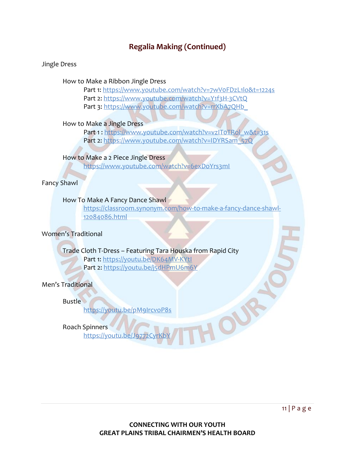# **Regalia Making (Continued)**

#### <span id="page-10-0"></span>Jingle Dress

How to Make a Ribbon Jingle Dress

Part 1:<https://www.youtube.com/watch?v=7wV0FDzL1lo&t=1224s> Part 2:<https://www.youtube.com/watch?v=Y1f3H-3CVtQ> Part 3: https://www.youtube.com/watch?v=rrXbA7QHb

How to Make a Jingle Dress

Part 1 : https://www.youtube.com/watch?v=vzIToTRol\_w&t=31s Part 2: [https://www.youtube.com/watch?v=IDYRSam\\_57Q](https://www.youtube.com/watch?v=IDYRSam_57Q)

How to Make a 2 Piece Jingle Dress

<https://www.youtube.com/watch?v=6exDoYrs3mI>

Fancy Shawl

## How To Make A Fancy Dance Shawl

[https://classroom.synonym.com/how-to-make-a-fancy-dance-shawl-](https://classroom.synonym.com/how-to-make-a-fancy-dance-shawl-12084086.html)[12084086.html](https://classroom.synonym.com/how-to-make-a-fancy-dance-shawl-12084086.html)

# Women's Traditional

# Trade Cloth T-Dress – Featuring Tara Houska from Rapid City

Part 1:<https://youtu.be/DK64MV-KYtI> Part 2:<https://youtu.be/j5dHPmU6m6Y>

Men's Traditional

**Bustle** 

<https://youtu.be/pM9IrcvoP8s>

Roach Spinners

https://youtu.be/Jg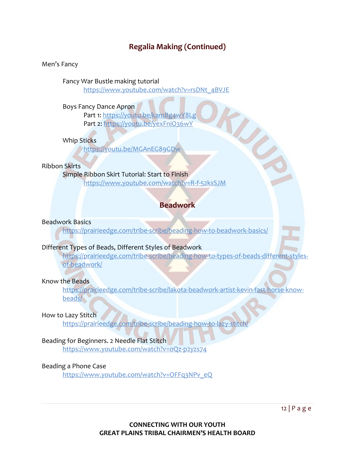# **Regalia Making (Continued)**

#### <span id="page-11-0"></span>Men's Fancy

Fancy War Bustle making tutorial

[https://www.youtube.com/watch?v=rsDNt\\_4BVJE](https://www.youtube.com/watch?v=rsDNt_4BVJE)

Boys Fancy Dance Apron

Part 1:<https://youtu.be/kamBg4wY8Lg> Part 2:<https://youtu.be/yexFniO36wY>

# Whip Sticks

<https://youtu.be/MGAnEG89GDw>

# Ribbon Skirts

# Simple Ribbon Skirt Tutorial: Start to Finish

<https://www.youtube.com/watch?v=R-f-52ksSJM>

# **Beadwork**

TING S

## <span id="page-11-1"></span>Beadwork Basics

<https://prairieedge.com/tribe-scribe/beading-how-to-beadwork-basics/>

# Different Types of Beads, Different Styles of Beadwork

[https://prairieedge.com/tribe-scribe/beading-how-to-types-of-beads-different-styles](https://prairieedge.com/tribe-scribe/beading-how-to-types-of-beads-different-styles-of-beadwork/)[of-beadwork/](https://prairieedge.com/tribe-scribe/beading-how-to-types-of-beads-different-styles-of-beadwork/)

#### Know the Beads

[https://prairieedge.com/tribe-scribe/lakota-beadwork-artist-kevin-fast-horse-know](https://prairieedge.com/tribe-scribe/lakota-beadwork-artist-kevin-fast-horse-know-beads/)[beads/](https://prairieedge.com/tribe-scribe/lakota-beadwork-artist-kevin-fast-horse-know-beads/)

#### How to Lazy Stitch

<https://prairieedge.com/tribe-scribe/beading-how-to-lazy-stitch/>

# Beading for Beginners. 2 Needle Flat Stitch

<https://www.youtube.com/watch?v=oQz-p2yzs74>

# Beading a Phone Case

[https://www.youtube.com/watch?v=OFFq3NPv\\_eQ](https://www.youtube.com/watch?v=OFFq3NPv_eQ)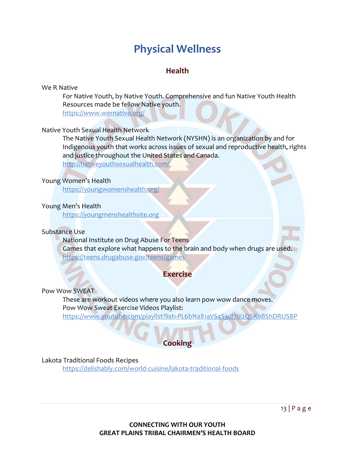# **Physical Wellness**

# **Health**

#### <span id="page-12-1"></span><span id="page-12-0"></span>We R Native

For Native Youth, by Native Youth. Comprehensive and fun Native Youth Health Resources made be fellow Native youth.

<https://www.wernative.org/>

#### Native Youth Sexual Health Network

The Native Youth Sexual Health Network (NYSHN) is an organization by and for Indigenous youth that works across issues of sexual and reproductive health, rights and justice throughout the United States and Canada.

<http://nativeyouthsexualhealth.com/>

## Young Women's Health

<https://youngwomenshealth.org/>

## Young Men's Health

[https://youngmenshealthsite.org](https://youngmenshealthsite.org/)

#### Substance Use

National Institute on Drug Abuse For Teens Games that explore what happens to the brain and body when drugs are used. <https://teens.drugabuse.gov/teens/games>

# **Exercise**

#### <span id="page-12-2"></span>Pow Wow SWEAT

These are workout videos where you also learn pow wow dance moves. Pow Wow Sweat Exercise Videos Playlist:

<https://www.youtube.com/playlist?list=PL6bNa81aVS4S3dl7Iii2QSK0BShDRUS8P>

# **Cooking**

#### <span id="page-12-3"></span>Lakota Traditional Foods Recipes

<https://delishably.com/world-cuisine/lakota-traditional-foods>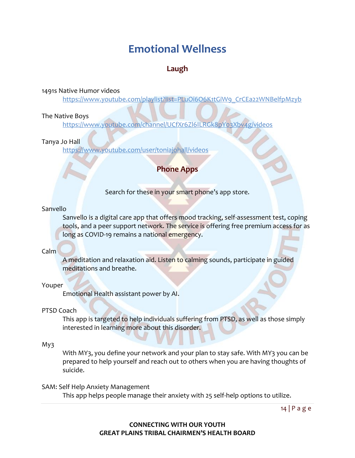# **Emotional Wellness**

# **Laugh**

<span id="page-13-1"></span><span id="page-13-0"></span>1491s Native Humor videos

[https://www.youtube.com/playlist?list=PLuOi6O6K1tGiW9\\_CrCEa22WNBelfpMzyb](https://www.youtube.com/playlist?list=PLuOi6O6K1tGiW9_CrCEa22WNBelfpMzyb)

# The Native Boys

<https://www.youtube.com/channel/UCfXr6Zl6ILRGk8pY03Xbv4g/videos>

# Tanya Jo Hall

<span id="page-13-2"></span><https://www.youtube.com/user/toniajohall/videos>

# **Phone Apps**

Search for these in your smart phone's app store.

# Sanvello

Sanvello is a digital care app that offers mood tracking, self-assessment test, coping tools, and a peer support network. The service is offering free premium access for as long as COVID-19 remains a national emergency.

# Calm

A meditation and relaxation aid. Listen to calming sounds, participate in guided meditations and breathe.

# Youper

Emotional Health assistant power by AI.

# PTSD Coach

This app is targeted to help individuals suffering from PTSD, as well as those simply interested in learning more about this disorder.

# My3

With MY3, you define your network and your plan to stay safe. With MY3 you can be prepared to help yourself and reach out to others when you are having thoughts of suicide.

# SAM: Self Help Anxiety Management

This app helps people manage their anxiety with 25 self-help options to utilize.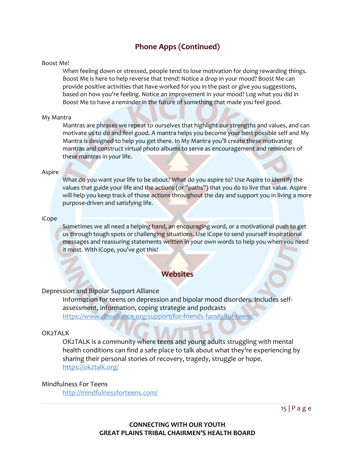# **Phone Apps (Continued)**

#### <span id="page-14-0"></span>Boost Me!

When feeling down or stressed, people tend to lose motivation for doing rewarding things. Boost Me is here to help reverse that trend! Notice a drop in your mood? Boost Me can provide positive activities that have worked for you in the past or give you suggestions, based on how you're feeling. Notice an improvement in your mood? Log what you did in Boost Me to have a reminder in the future of something that made you feel good.

#### My Mantra

Mantras are phrases we repeat to ourselves that highlight our strengths and values, and can motivate us to do and feel good. A mantra helps you become your best possible self and My Mantra is designed to help you get there. In My Mantra you'll create these motivating mantras and construct virtual photo albums to serve as encouragement and reminders of these mantras in your life.

#### **Aspire**

What do you want your life to be about? What do you aspire to? Use Aspire to identify the values that guide your life and the actions (or "paths") that you do to live that value. Aspire will help you keep track of those actions throughout the day and support you in living a more purpose-driven and satisfying life.

#### iCope

Sometimes we all need a helping hand, an encouraging word, or a motivational push to get us through tough spots or challenging situations. Use iCope to send yourself inspirational messages and reassuring statements written in your own words to help you when you need it most. With iCope, you've got this!

# **Websites**

#### <span id="page-14-1"></span>Depression and Bipolar Support Alliance

Information for teens on depression and bipolar mood disorders. Includes selfassessment, information, coping strategie and podcasts <https://www.dbsalliance.org/support/for-friends-family/for-teens/>

#### OK2TALK

OK2TALK is a community where teens and young adults struggling with mental health conditions can find a safe place to talk about what they're experiencing by sharing their personal stories of recovery, tragedy, struggle or hope. <https://ok2talk.org/>

#### Mindfulness For Teens

<http://mindfulnessforteens.com/>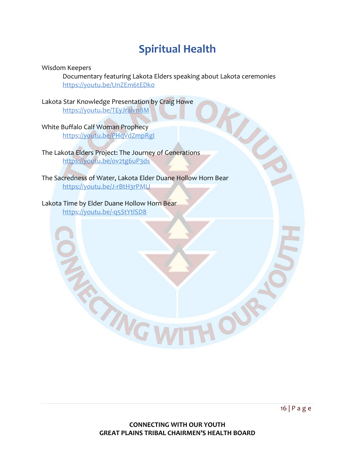# **Spiritual Health**

<span id="page-15-0"></span>Wisdom Keepers

Documentary featuring Lakota Elders speaking about Lakota ceremonies <https://youtu.be/UnZEm6tEDk0>

Lakota Star Knowledge Presentation by Craig Howe <https://youtu.be/TEyJraivn8M>

White Buffalo Calf Woman Prophecy <https://youtu.be/PHqVdZmpRgI>

The Lakota Elders Project: The Journey of Generations <https://youtu.be/ov2tg6uP3ds>

**PING** 

The Sacredness of Water, Lakota Elder Duane Hollow Horn Bear <https://youtu.be/J-rBtH3rPMU>

# Lakota Time by Elder Duane Hollow Horn Bear

<https://youtu.be/-q5StYtlSD8>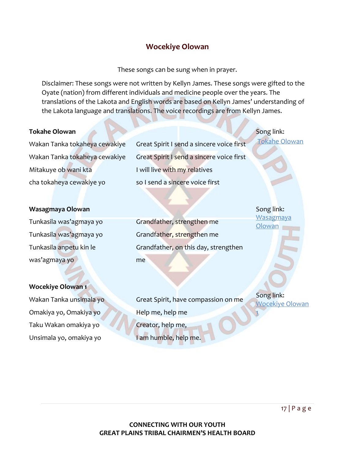# **Wocekiye Olowan**

These songs can be sung when in prayer.

<span id="page-16-0"></span>Disclaimer: These songs were not written by Kellyn James. These songs were gifted to the Oyate (nation) from different individuals and medicine people over the years. The translations of the Lakota and English words are based on Kellyn James' understanding of the Lakota language and translations. The voice recordings are from Kellyn James.

## **Tokahe Olowan**

Wakan Tanka tokaheya cewakiye Wakan Tanka tokaheya cewakiye Mitakuye ob wani kta cha tokaheya cewakiye yo

Great Spirit I send a sincere voice first Great Spirit I send a sincere voice first I will live with my relatives so I send a sincere voice first

## **Wasagmaya Olowan**

Tunkasila was'agmaya yo Tunkasila was'agmaya yo Tunkasila anpetu kin le was'agmaya yo

Grandfather, strengthen me Grandfather, strengthen me Grandfather, on this day, strengthen me

#### **Wocekiye Olowan 1**

Wakan Tanka unsimala yo Omakiya yo, Omakiya yo Taku Wakan omakiya yo Unsimala yo, omakiya yo

Great Spirit, have compassion on me Help me, help me Creator, help me, I am humble, help me.

Song link: **Wasagmaya [Olowan](https://gptchb2.sharepoint.com/sites/CWOYProgram/Shared%20Documents/Wocekiye%20Olowan/Wasagmaya%20Olowan.mp3)** 

Song link:

[Tokahe Olowan](https://gptchb2.sharepoint.com/sites/CWOYProgram/Shared%20Documents/Wocekiye%20Olowan/Tokahe%20olowan.mp3)

Song link: [Wocekiye Olowan](https://gptchb2.sharepoint.com/sites/CWOYProgram/Shared%20Documents/Wocekiye%20Olowan/Wocekiye%20olowan%201.mp3) 

[1](https://gptchb2.sharepoint.com/sites/CWOYProgram/Shared%20Documents/Wocekiye%20Olowan/Wocekiye%20olowan%201.mp3)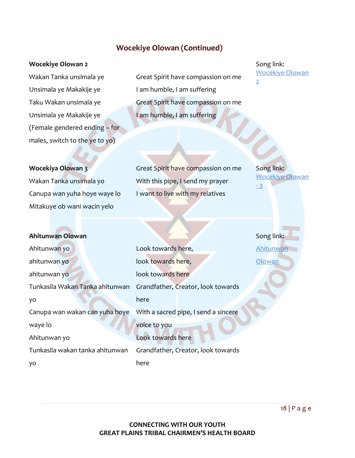# **Wocekiye Olowan (Continued)**

#### <span id="page-17-0"></span>**Wocekiye Olowan 2**

Wakan Tanka unsimala ye Unsimala ye Makakije ye Taku Wakan unsimala ye Unsimala ye Makakije ye (Female gendered ending – for males, switch to the ye to yo)

Great Spirit have compassion on me I am humble, I am suffering Great Spirit have compassion on me I am humble, I am suffering

Song link: [Wocekiye Olowan](https://gptchb2.sharepoint.com/sites/CWOYProgram/Shared%20Documents/Wocekiye%20Olowan/Wocekiye%20olowan%202.mp3)  [2](https://gptchb2.sharepoint.com/sites/CWOYProgram/Shared%20Documents/Wocekiye%20Olowan/Wocekiye%20olowan%202.mp3)

#### **Wocekiya Olowan 3**

Wakan Tanka unsimala yo Canupa wan yuha hoye waye lo Mitakuye ob wani wacin yelo

Great Spirit have compassion on me With this pipe, I send my prayer I want to live with my relatives

Song link: [Wocekiye Olowan](https://gptchb2.sharepoint.com/sites/CWOYProgram/Shared%20Documents/Wocekiye%20Olowan/Wocekiye%20Olowan%20-%203.mp3)  - [3](https://gptchb2.sharepoint.com/sites/CWOYProgram/Shared%20Documents/Wocekiye%20Olowan/Wocekiye%20Olowan%20-%203.mp3)

| Ahitunwan Olowan                |                                      | Song link: |
|---------------------------------|--------------------------------------|------------|
| Ahitunwan yo                    | Look towards here,                   | Ahitunwan  |
| ahitunwan yo                    | look towards here,                   | Olowan     |
| ahitunwan yo                    | look towards here                    |            |
| Tunkasila Wakan Tanka ahitunwan | Grandfather, Creator, look towards   |            |
| yo                              | here                                 |            |
| Canupa wan wakan can yuha hoye  | With a sacred pipe, I send a sincere |            |
| waye lo                         | voice to you                         |            |
| Ahitunwan yo                    | Look towards here                    |            |
| Tunkasila wakan tanka ahitunwan | Grandfather, Creator, look towards   |            |
| yо                              | here                                 |            |